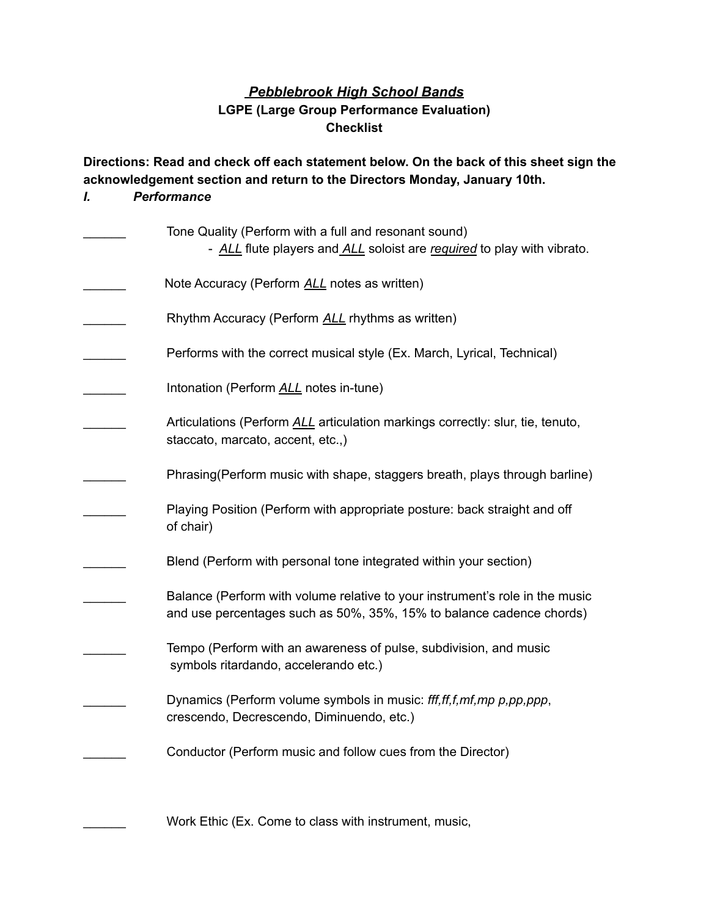## *Pebblebrook High School Bands* **LGPE (Large Group Performance Evaluation) Checklist**

**Directions: Read and check off each statement below. On the back of this sheet sign the acknowledgement section and return to the Directors Monday, January 10th.**

## *I. Performance*

| Tone Quality (Perform with a full and resonant sound)<br>- ALL flute players and ALL soloist are required to play with vibrato.                      |
|------------------------------------------------------------------------------------------------------------------------------------------------------|
| Note Accuracy (Perform ALL notes as written)                                                                                                         |
| Rhythm Accuracy (Perform ALL rhythms as written)                                                                                                     |
| Performs with the correct musical style (Ex. March, Lyrical, Technical)                                                                              |
| Intonation (Perform ALL notes in-tune)                                                                                                               |
| Articulations (Perform ALL articulation markings correctly: slur, tie, tenuto,<br>staccato, marcato, accent, etc.,)                                  |
| Phrasing (Perform music with shape, staggers breath, plays through barline)                                                                          |
| Playing Position (Perform with appropriate posture: back straight and off<br>of chair)                                                               |
| Blend (Perform with personal tone integrated within your section)                                                                                    |
| Balance (Perform with volume relative to your instrument's role in the music<br>and use percentages such as 50%, 35%, 15% to balance cadence chords) |
| Tempo (Perform with an awareness of pulse, subdivision, and music<br>symbols ritardando, accelerando etc.)                                           |
| Dynamics (Perform volume symbols in music: fff, ff, f, mf, mp p, pp, ppp,<br>crescendo, Decrescendo, Diminuendo, etc.)                               |
| Conductor (Perform music and follow cues from the Director)                                                                                          |
| Work Ethic (Ex. Come to class with instrument, music,                                                                                                |